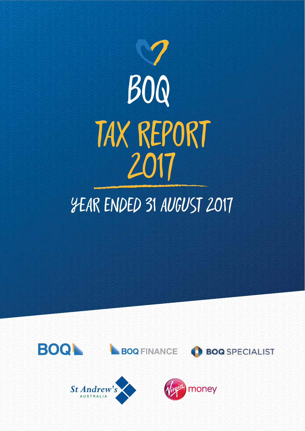

# YEAR ENDED 31 AUGUST 2017





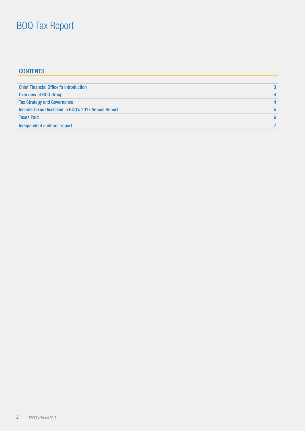| <b>CONTENTS</b>                                    |   |
|----------------------------------------------------|---|
|                                                    |   |
| <b>Chief Financial Officer's Introduction</b>      | 3 |
| <b>Overview of BOQ Group</b>                       | 4 |
| <b>Tax Strategy and Governance</b>                 |   |
| Income Taxes Disclosed in BOQ's 2017 Annual Report | 5 |
| <b>Taxes Paid</b>                                  | 6 |
| Independent auditors' report                       |   |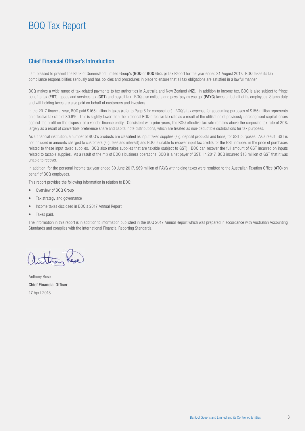### Chief Financial Officer's Introduction

I am pleased to present the Bank of Queensland Limited Group's (BOQ or BOQ Group) Tax Report for the year ended 31 August 2017. BOQ takes its tax compliance responsibilities seriously and has policies and procedures in place to ensure that all tax obligations are satisfied in a lawful manner.

BOQ makes a wide range of tax-related payments to tax authorities in Australia and New Zealand (NZ). In addition to income tax, BOQ is also subject to fringe benefits tax (FBT), goods and services tax (GST) and payroll tax. BOQ also collects and pays 'pay as you go' (PAYG) taxes on behalf of its employees. Stamp duty and withholding taxes are also paid on behalf of customers and investors.

In the 2017 financial year, BOQ paid \$165 million in taxes (refer to Page 6 for composition). BOQ's tax expense for accounting purposes of \$155 million represents an effective tax rate of 30.6%. This is slightly lower than the historical BOQ effective tax rate as a result of the utilisation of previously unrecognised capital losses against the profit on the disposal of a vendor finance entity. Consistent with prior years, the BOQ effective tax rate remains above the corporate tax rate of 30% largely as a result of convertible preference share and capital note distributions, which are treated as non-deductible distributions for tax purposes.

As a financial institution, a number of BOQ's products are classified as input taxed supplies (e.g. deposit products and loans) for GST purposes. As a result, GST is not included in amounts charged to customers (e.g. fees and interest) and BOQ is unable to recover input tax credits for the GST included in the price of purchases related to these input taxed supplies. BOQ also makes supplies that are taxable (subject to GST). BOQ can recover the full amount of GST incurred on inputs related to taxable supplies. As a result of the mix of BOQ's business operations, BOQ is a net payer of GST. In 2017, BOQ incurred \$18 million of GST that it was unable to recover.

In addition, for the personal income tax year ended 30 June 2017, \$69 million of PAYG withholding taxes were remitted to the Australian Taxation Office (ATO) on behalf of BOQ employees.

This report provides the following information in relation to BOQ:

- Overview of BOQ Group
- Tax strategy and governance
- Income taxes disclosed in BOQ's 2017 Annual Report
- Taxes paid.

The information in this report is in addition to information published in the BOQ 2017 Annual Report which was prepared in accordance with Australian Accounting Standards and complies with the International Financial Reporting Standards.

than

Anthony Rose Chief Financial Officer 17 April 2018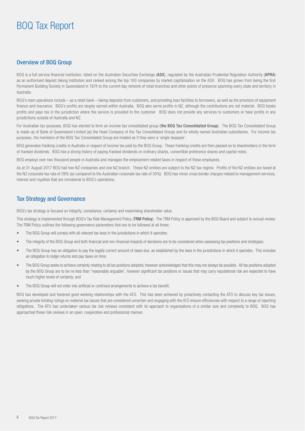### Overview of BOQ Group

BOQ is a full service financial institution, listed on the Australian Securities Exchange (ASX), regulated by the Australian Prudential Regulation Authority (APRA) as an authorised deposit taking institution and ranked among the top 100 companies by market capitalisation on the ASX. BOQ has grown from being the first Permanent Building Society in Queensland in 1874 to the current day network of retail branches and other points of presence spanning every state and territory in Australia.

BOQ's main operations include – as a retail bank – taking deposits from customers, and providing loan facilities to borrowers, as well as the provision of equipment finance and insurance. BOQ's profits are largely earned within Australia. BOQ also earns profits in NZ, although the contributions are not material. BOQ books profits and pays tax in the jurisdiction where the service is provided to the customer. BOQ does not provide any services to customers or have profits in any jurisdictions outside of Australia and NZ.

For Australian tax purposes, BOQ has elected to form an income tax consolidated group (the BOQ Tax Consolidated Group). The BOQ Tax Consolidated Group is made up of Bank of Queensland Limited (as the Head Company of the Tax Consolidated Group) and its wholly owned Australian subsidiaries. For income tax purposes, the members of the BOQ Tax Consolidated Group are treated as if they were a 'single taxpayer'.

BOQ generates franking credits in Australia in respect of income tax paid by the BOQ Group. These franking credits are then passed on to shareholders in the form of franked dividends. BOQ has a strong history of paying franked dividends on ordinary shares, convertible preference shares and capital notes.

BOQ employs over two thousand people in Australia and manages the employment related taxes in respect of these employees.

As at 31 August 2017 BOQ had two NZ companies and one NZ branch. These NZ entities are subject to the NZ tax regime. Profits of the NZ entities are taxed at the NZ corporate tax rate of 28% (as compared to the Australian corporate tax rate of 30%). BOQ has minor cross border charges related to management services, interest and royalties that are immaterial to BOQ's operations.

### Tax Strategy and Governance

BOQ's tax strategy is focused on integrity, compliance, certainty and maximising shareholder value.

This strategy is implemented through BOQ's Tax Risk Management Policy (TRM Policy). The TRM Policy is approved by the BOQ Board and subject to annual review. The TRM Policy outlines the following governance parameters that are to be followed at all times:

- The BOQ Group will comply with all relevant tax laws in the jurisdictions in which it operates;
- The integrity of the BOQ Group and both financial and non-financial impacts of decisions are to be considered when assessing tax positions and strategies;
- The BOQ Group has an obligation to pay the legally correct amount of taxes due, as established by the laws in the jurisdictions in which it operates. This includes an obligation to lodge returns and pay taxes on time;
- The BOQ Group seeks to achieve certainty relating to all tax positions adopted, however acknowledges that this may not always be possible. All tax positions adopted by the BOQ Group are to be no less than "reasonably arguable", however significant tax positions or issues that may carry reputational risk are expected to have much higher levels of certainty; and
- The BOQ Group will not enter into artificial or contrived arrangements to achieve a tax benefit.

BOQ has developed and fostered good working relationships with the ATO. This has been achieved by proactively contacting the ATO to discuss key tax issues, seeking private binding rulings on material tax issues that are considered uncertain and engaging with the ATO ensure efficiencies with respect to a range of reporting obligations. The ATO has undertaken various tax risk reviews consistent with its approach to organisations of a similar size and complexity to BOQ. BOQ has approached these risk reviews in an open, cooperative and professional manner.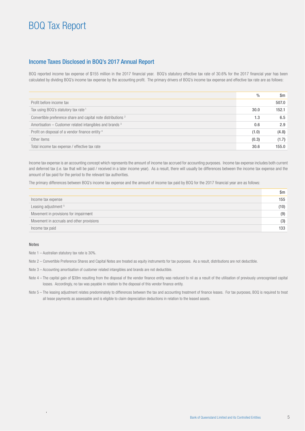### Income Taxes Disclosed in BOQ's 2017 Annual Report

BOQ reported income tax expense of \$155 million in the 2017 financial year. BOQ's statutory effective tax rate of 30.6% for the 2017 financial year has been calculated by dividing BOQ's income tax expense by the accounting profit. The primary drivers of BOQ's income tax expense and effective tax rate are as follows:

|                                                                          | $\frac{0}{0}$ | Sm    |
|--------------------------------------------------------------------------|---------------|-------|
| Profit before income tax                                                 |               | 507.0 |
| Tax using BOQ's statutory tax rate <sup>1</sup>                          | 30.0          | 152.1 |
| Convertible preference share and capital note distributions <sup>2</sup> | 1.3           | 6.5   |
| Amortisation $-$ Customer related intangibles and brands $3$             | 0.6           | 2.9   |
| Profit on disposal of a vendor finance entity 4                          | (1.0)         | (4.8) |
| Other items                                                              | (0.3)         | (1.7) |
| Total income tax expense / effective tax rate                            | 30.6          | 155.0 |

Income tax expense is an accounting concept which represents the amount of income tax accrued for accounting purposes. Income tax expense includes both current and deferred tax (i.e. tax that will be paid / received in a later income year). As a result, there will usually be differences between the income tax expense and the amount of tax paid for the period to the relevant tax authorities.

The primary differences between BOQ's income tax expense and the amount of income tax paid by BOQ for the 2017 financial year are as follows:

|                                           | \$m  |
|-------------------------------------------|------|
| Income tax expense                        | 155  |
| Leasing adjustment 5                      | (10) |
| Movement in provisions for impairment     | (9)  |
| Movement in accruals and other provisions | (3)  |
| Income tax paid                           | 133  |

#### Notes

Note 1 – Australian statutory tax rate is 30%.

Note 2 – Convertible Preference Shares and Capital Notes are treated as equity instruments for tax purposes. As a result, distributions are not deductible.

Note 3 – Accounting amortisation of customer related intangibles and brands are not deductible.

- Note 4 The capital gain of \$39m resulting from the disposal of the vendor finance entity was reduced to nil as a result of the utilisation of previously unrecognised capital losses. Accordingly, no tax was payable in relation to the disposal of this vendor finance entity.
- Note 5 The leasing adjustment relates predominately to differences between the tax and accounting treatment of finance leases. For tax purposes, BOQ is required to treat all lease payments as assessable and is eligible to claim depreciation deductions in relation to the leased assets.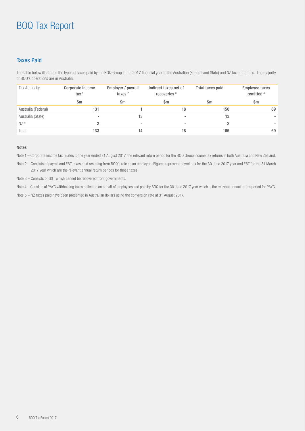### Taxes Paid

The table below illustrates the types of taxes paid by the BOQ Group in the 2017 financial year to the Australian (Federal and State) and NZ tax authorities. The majority of BOQ's operations are in Australia.

| <b>Tax Authority</b> | Corporate income<br>tax <sup>1</sup> | Employer / payroll<br>taxes $2$ | Indirect taxes net of<br>recoveries <sup>3</sup> | Total taxes paid | <b>Employee taxes</b><br>remitted <sup>4</sup> |
|----------------------|--------------------------------------|---------------------------------|--------------------------------------------------|------------------|------------------------------------------------|
|                      | Sm                                   | $\mathsf{Sm}$                   | $\mathsf{Sm}$                                    | Sm               | $\mathsf{S}$ m                                 |
| Australia (Federal)  | 131                                  |                                 | 18                                               | 150              | 69                                             |
| Australia (State)    | $\overline{\phantom{a}}$             | 13                              | $\overline{\phantom{a}}$                         | 13               |                                                |
| NZ <sup>5</sup>      |                                      |                                 | $\overline{\phantom{a}}$                         |                  |                                                |
| Total                | 133                                  | 14                              | 18                                               | 165              | 69                                             |

#### Notes

Note 1 – Corporate income tax relates to the year ended 31 August 2017, the relevant return period for the BOQ Group income tax returns in both Australia and New Zealand.

Note 2 – Consists of payroll and FBT taxes paid resulting from BOQ's role as an employer. Figures represent payroll tax for the 30 June 2017 year and FBT for the 31 March 2017 year which are the relevant annual return periods for those taxes.

Note 3 – Consists of GST which cannot be recovered from governments.

Note 4 – Consists of PAYG withholding taxes collected on behalf of employees and paid by BOQ for the 30 June 2017 year which is the relevant annual return period for PAYG.

Note 5 – NZ taxes paid have been presented in Australian dollars using the conversion rate at 31 August 2017.